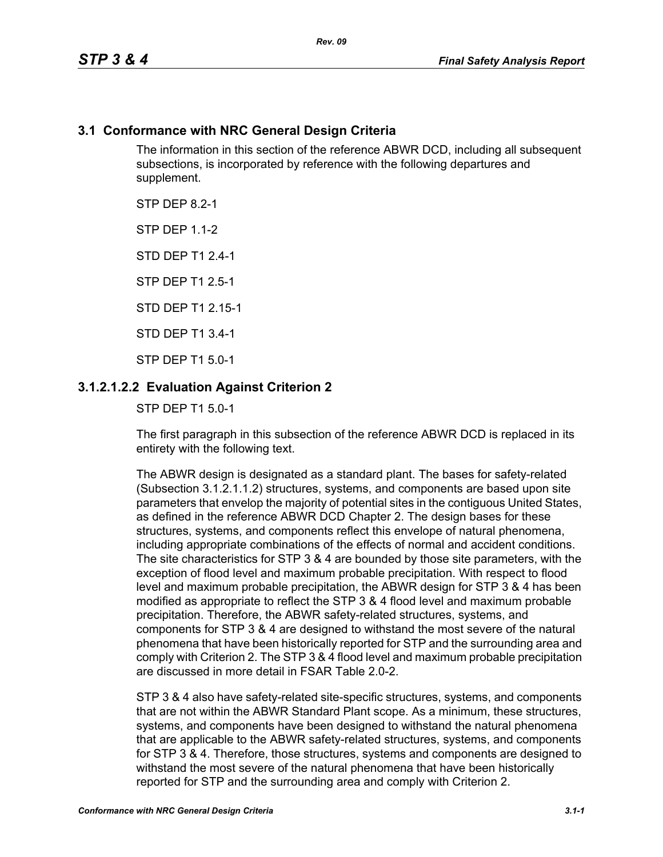## **3.1 Conformance with NRC General Design Criteria**

The information in this section of the reference ABWR DCD, including all subsequent subsections, is incorporated by reference with the following departures and supplement.

STP DFP 82-1

**STP DFP 1 1-2** 

STD DEP T1 2.4-1

STP DEP T1 2.5-1

STD DEP T1 2 15-1

STD DEP T1 3.4-1

STP DEP T1 5.0-1

## **3.1.2.1.2.2 Evaluation Against Criterion 2**

STP DEP T1 5.0-1

The first paragraph in this subsection of the reference ABWR DCD is replaced in its entirety with the following text.

The ABWR design is designated as a standard plant. The bases for safety-related (Subsection 3.1.2.1.1.2) structures, systems, and components are based upon site parameters that envelop the majority of potential sites in the contiguous United States, as defined in the reference ABWR DCD Chapter 2. The design bases for these structures, systems, and components reflect this envelope of natural phenomena, including appropriate combinations of the effects of normal and accident conditions. The site characteristics for STP 3 & 4 are bounded by those site parameters, with the exception of flood level and maximum probable precipitation. With respect to flood level and maximum probable precipitation, the ABWR design for STP 3 & 4 has been modified as appropriate to reflect the STP 3 & 4 flood level and maximum probable precipitation. Therefore, the ABWR safety-related structures, systems, and components for STP 3 & 4 are designed to withstand the most severe of the natural phenomena that have been historically reported for STP and the surrounding area and comply with Criterion 2. The STP 3 & 4 flood level and maximum probable precipitation are discussed in more detail in FSAR Table 2.0-2.

STP 3 & 4 also have safety-related site-specific structures, systems, and components that are not within the ABWR Standard Plant scope. As a minimum, these structures, systems, and components have been designed to withstand the natural phenomena that are applicable to the ABWR safety-related structures, systems, and components for STP 3 & 4. Therefore, those structures, systems and components are designed to withstand the most severe of the natural phenomena that have been historically reported for STP and the surrounding area and comply with Criterion 2.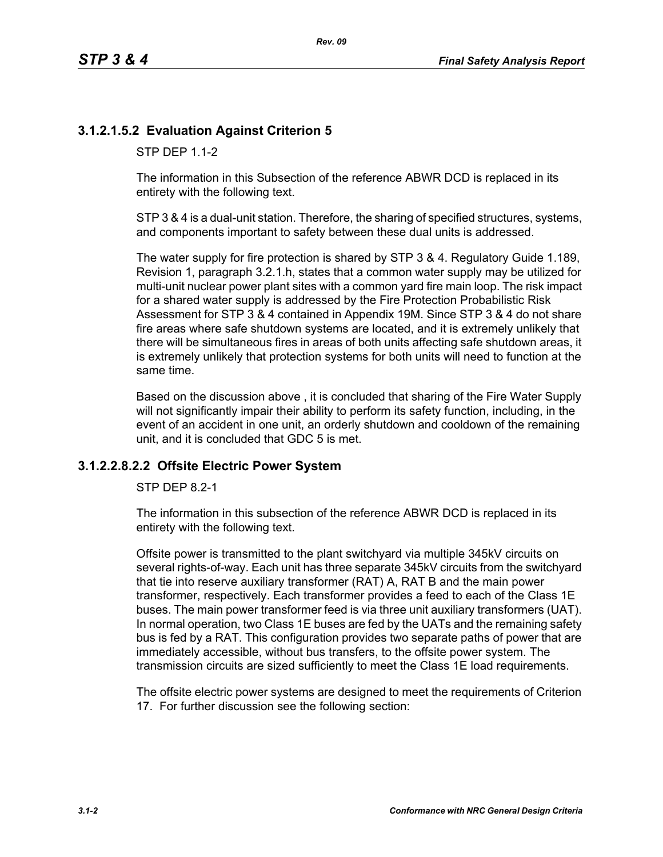# **3.1.2.1.5.2 Evaluation Against Criterion 5**

STP DFP 1 1-2

The information in this Subsection of the reference ABWR DCD is replaced in its entirety with the following text.

STP 3 & 4 is a dual-unit station. Therefore, the sharing of specified structures, systems, and components important to safety between these dual units is addressed.

The water supply for fire protection is shared by STP 3 & 4. Regulatory Guide 1.189, Revision 1, paragraph 3.2.1.h, states that a common water supply may be utilized for multi-unit nuclear power plant sites with a common yard fire main loop. The risk impact for a shared water supply is addressed by the Fire Protection Probabilistic Risk Assessment for STP 3 & 4 contained in Appendix 19M. Since STP 3 & 4 do not share fire areas where safe shutdown systems are located, and it is extremely unlikely that there will be simultaneous fires in areas of both units affecting safe shutdown areas, it is extremely unlikely that protection systems for both units will need to function at the same time.

Based on the discussion above , it is concluded that sharing of the Fire Water Supply will not significantly impair their ability to perform its safety function, including, in the event of an accident in one unit, an orderly shutdown and cooldown of the remaining unit, and it is concluded that GDC 5 is met.

#### **3.1.2.2.8.2.2 Offsite Electric Power System**

STP DEP 8.2-1

The information in this subsection of the reference ABWR DCD is replaced in its entirety with the following text.

Offsite power is transmitted to the plant switchyard via multiple 345kV circuits on several rights-of-way. Each unit has three separate 345kV circuits from the switchyard that tie into reserve auxiliary transformer (RAT) A, RAT B and the main power transformer, respectively. Each transformer provides a feed to each of the Class 1E buses. The main power transformer feed is via three unit auxiliary transformers (UAT). In normal operation, two Class 1E buses are fed by the UATs and the remaining safety bus is fed by a RAT. This configuration provides two separate paths of power that are immediately accessible, without bus transfers, to the offsite power system. The transmission circuits are sized sufficiently to meet the Class 1E load requirements.

The offsite electric power systems are designed to meet the requirements of Criterion 17. For further discussion see the following section: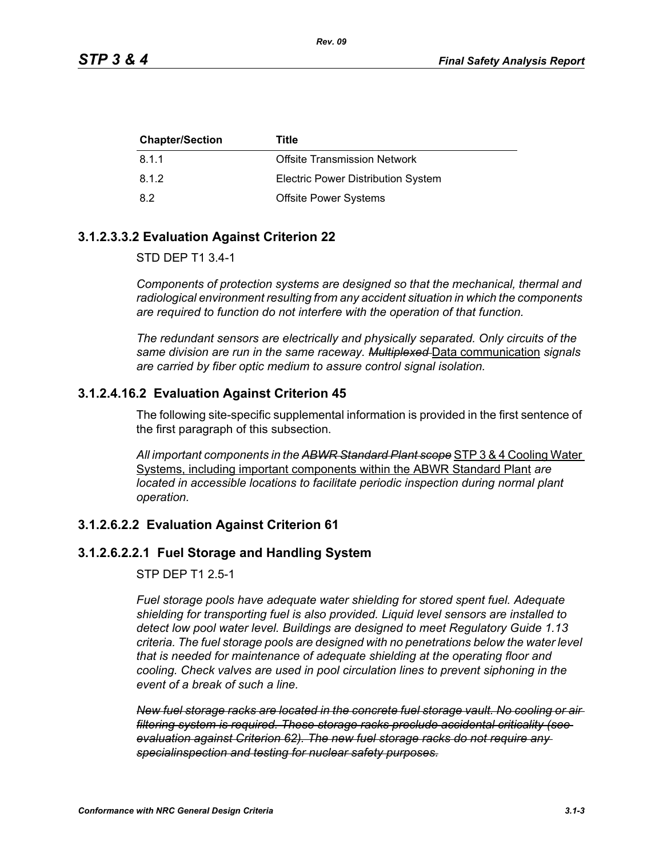| <b>Chapter/Section</b> | Title                                     |
|------------------------|-------------------------------------------|
| 8.1.1                  | <b>Offsite Transmission Network</b>       |
| 8.1.2                  | <b>Electric Power Distribution System</b> |
| 8.2                    | <b>Offsite Power Systems</b>              |

## **3.1.2.3.3.2 Evaluation Against Criterion 22**

STD DEP T1 3.4-1

*Components of protection systems are designed so that the mechanical, thermal and radiological environment resulting from any accident situation in which the components are required to function do not interfere with the operation of that function.* 

*The redundant sensors are electrically and physically separated. Only circuits of the same division are run in the same raceway. Multiplexed* Data communication *signals are carried by fiber optic medium to assure control signal isolation.*

## **3.1.2.4.16.2 Evaluation Against Criterion 45**

The following site-specific supplemental information is provided in the first sentence of the first paragraph of this subsection.

*All important components in the ABWR Standard Plant scope* STP 3 & 4 Cooling Water Systems, including important components within the ABWR Standard Plant *are located in accessible locations to facilitate periodic inspection during normal plant operation.*

## **3.1.2.6.2.2 Evaluation Against Criterion 61**

## **3.1.2.6.2.2.1 Fuel Storage and Handling System**

STP DEP T1 2.5-1

*Fuel storage pools have adequate water shielding for stored spent fuel. Adequate shielding for transporting fuel is also provided. Liquid level sensors are installed to detect low pool water level. Buildings are designed to meet Regulatory Guide 1.13 criteria. The fuel storage pools are designed with no penetrations below the water level that is needed for maintenance of adequate shielding at the operating floor and cooling. Check valves are used in pool circulation lines to prevent siphoning in the event of a break of such a line.*

*New fuel storage racks are located in the concrete fuel storage vault. No cooling or air filtering system is required. These storage racks preclude accidental criticality (see evaluation against Criterion 62). The new fuel storage racks do not require any specialinspection and testing for nuclear safety purposes.*